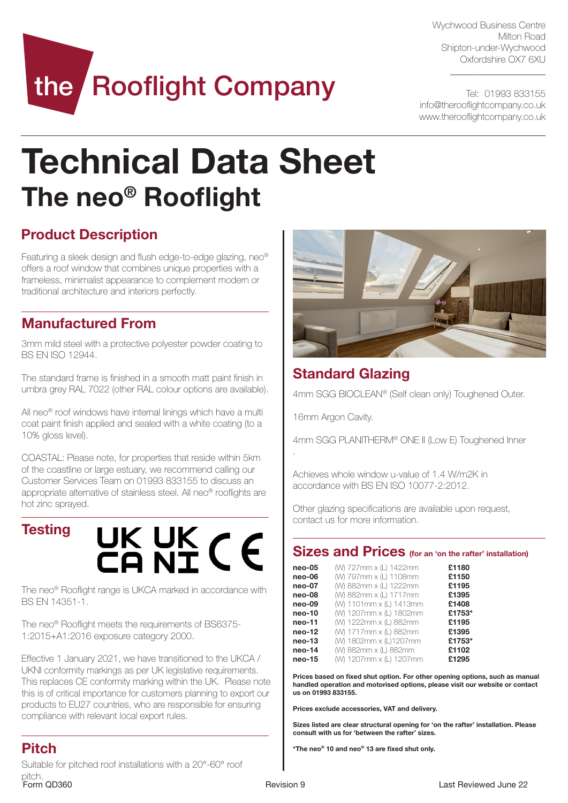Wychwood Business Centre Milton Road Shipton-under-Wychwood Oxfordshire OX7 6XU

 $\_$ 

Tel: 01993 833155 info@therooflightcompany.co.uk www.therooflightcompany.co.uk

# the Rooflight Company

## Technical Data Sheet The neo® Rooflight

## Product Description

Featuring a sleek design and flush edge-to-edge glazing, neo® offers a roof window that combines unique properties with a frameless, minimalist appearance to complement modern or traditional architecture and interiors perfectly.

## Manufactured From

3mm mild steel with a protective polyester powder coating to BS EN ISO 12944.

The standard frame is finished in a smooth matt paint finish in umbra grey RAL 7022 (other RAL colour options are available).

All neo<sup>®</sup> roof windows have internal linings which have a multi coat paint finish applied and sealed with a white coating (to a 10% gloss level).

COASTAL: Please note, for properties that reside within 5km of the coastline or large estuary, we recommend calling our Customer Services Team on 01993 833155 to discuss an appropriate alternative of stainless steel. All neo® rooflights are hot zinc sprayed.

## **Testing**



The neo® Rooflight range is UKCA marked in accordance with BS EN 14351-1.

The neo® Rooflight meets the requirements of BS6375- 1:2015+A1:2016 exposure category 2000.

Effective 1 January 2021, we have transitioned to the UKCA / UKNI conformity markings as per UK legislative requirements. This replaces CE conformity marking within the UK. Please note this is of critical importance for customers planning to export our products to EU27 countries, who are responsible for ensuring compliance with relevant local export rules.



## Standard Glazing

4mm SGG BIOCLEAN® (Self clean only) Toughened Outer.

16mm Argon Cavity.

.

4mm SGG PLANITHERM® ONE II (Low E) Toughened Inner

Achieves whole window u-value of 1.4 W/m2K in accordance with BS EN ISO 10077-2:2012.

Other glazing specifications are available upon request, contact us for more information.

### Sizes and Prices (for an 'on the rafter' installation)

| $neo-05$ | (W) 727mm x (L) 1422mm  | £1180  |
|----------|-------------------------|--------|
| neo-06   | (W) 797mm x (L) 1108mm  | £1150  |
| neo-07   | (W) 882mm x (L) 1222mm  | £1195  |
| neo-08   | (W) 882mm x (L) 1717mm  | £1395  |
| neo-09   | (W) 1101mm x (L) 1413mm | £1408  |
| neo-10   | (W) 1207mm x (L) 1802mm | £1753* |
| neo-11   | (W) 1222mm x (L) 882mm  | £1195  |
| $neo-12$ | (W) 1717mm x (L) 882mm  | £1395  |
| $neo-13$ | (W) 1802mm x (L)1207mm  | £1753* |
| neo-14   | (W) 882mm x (L) 882mm   | £1102  |
| $neo-15$ | (W) 1207mm x (L) 1207mm | £1295  |

Prices based on fixed shut option. For other opening options, such as manual handled operation and motorised options, please visit our website or contact us on 01993 833155.

Prices exclude accessories, VAT and delivery.

Sizes listed are clear structural opening for 'on the rafter' installation. Please consult with us for 'between the rafter' sizes.

\*The neo® 10 and neo® 13 are fixed shut only.

## Pitch

Form OD360 **Revision 9** Revision 9 Revision 9 Last Reviewed June 22 Suitable for pitched roof installations with a 20°-60° roof pitch.